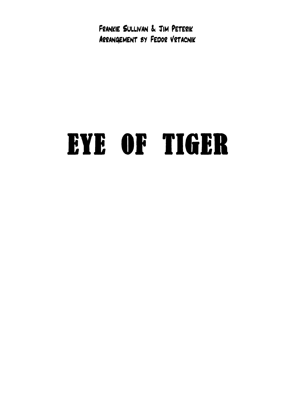Frankie Sullivan & Jim Peterik Arrangement by Fedor Vrtacnik

## EYE OF TIGER